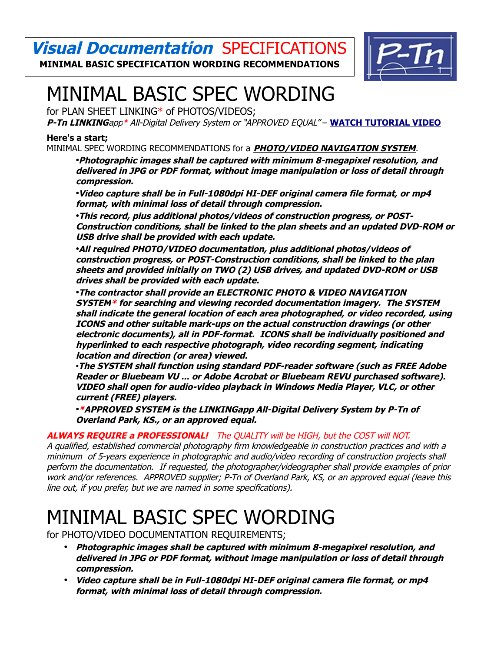**Visual Documentation** SPECIFICATIONS **MINIMAL BASIC SPECIFICATION WORDING RECOMMENDATIONS**



# MINIMAL BASIC SPEC WORDING

for PLAN SHEET LINKING\* of PHOTOS/VIDEOS;

**P-Tn LINKING**app\* All-Digital Delivery System or "APPROVED EQUAL" – **[WATCH TUTORIAL VIDEO](http://www.P-Tn.net/comlink/apptutorial.mp4)**

### **Here's a start;**

MINIMAL SPEC WORDING RECOMMENDATIONS for a **PHOTO/VIDEO NAVIGATION SYSTEM**.

•**Photographic images shall be captured with minimum 8-megapixel resolution, and delivered in JPG or PDF format, without image manipulation or loss of detail through compression.**

•**Video capture shall be in Full-1080dpi HI-DEF original camera file format, or mp4 format, with minimal loss of detail through compression.**

•**This record, plus additional photos/videos of construction progress, or POST-Construction conditions, shall be linked to the plan sheets and an updated DVD-ROM or USB drive shall be provided with each update.**

•**All required PHOTO/VIDEO documentation, plus additional photos/videos of construction progress, or POST-Construction conditions, shall be linked to the plan sheets and provided initially on TWO (2) USB drives, and updated DVD-ROM or USB drives shall be provided with each update.**

•**The contractor shall provide an ELECTRONIC PHOTO & VIDEO NAVIGATION SYSTEM\* for searching and viewing recorded documentation imagery. The SYSTEM shall indicate the general location of each area photographed, or video recorded, using ICONS and other suitable mark-ups on the actual construction drawings (or other electronic documents), all in PDF-format. ICONS shall be individually positioned and hyperlinked to each respective photograph, video recording segment, indicating location and direction (or area) viewed.**

•**The SYSTEM shall function using standard PDF-reader software (such as FREE Adobe Reader or Bluebeam VU ... or Adobe Acrobat or Bluebeam REVU purchased software). VIDEO shall open for audio-video playback in Windows Media Player, VLC, or other current (FREE) players.**

•**\*APPROVED SYSTEM is the LINKINGapp All-Digital Delivery System by P-Tn of Overland Park, KS., or an approved equal.**

### **ALWAYS REQUIRE a PROFESSIONAL!** The QUALITY will be HIGH, but the COST will NOT.

A qualified, established commercial photography firm knowledgeable in construction practices and with a minimum of 5-years experience in photographic and audio/video recording of construction projects shall perform the documentation. If requested, the photographer/videographer shall provide examples of prior work and/or references. APPROVED supplier; P-Tn of Overland Park, KS, or an approved equal (leave this line out, if you prefer, but we are named in some specifications).

## MINIMAL BASIC SPEC WORDING

for PHOTO/VIDEO DOCUMENTATION REQUIREMENTS;

- **Photographic images shall be captured with minimum 8-megapixel resolution, and delivered in JPG or PDF format, without image manipulation or loss of detail through compression.**
- **Video capture shall be in Full-1080dpi HI-DEF original camera file format, or mp4 format, with minimal loss of detail through compression.**